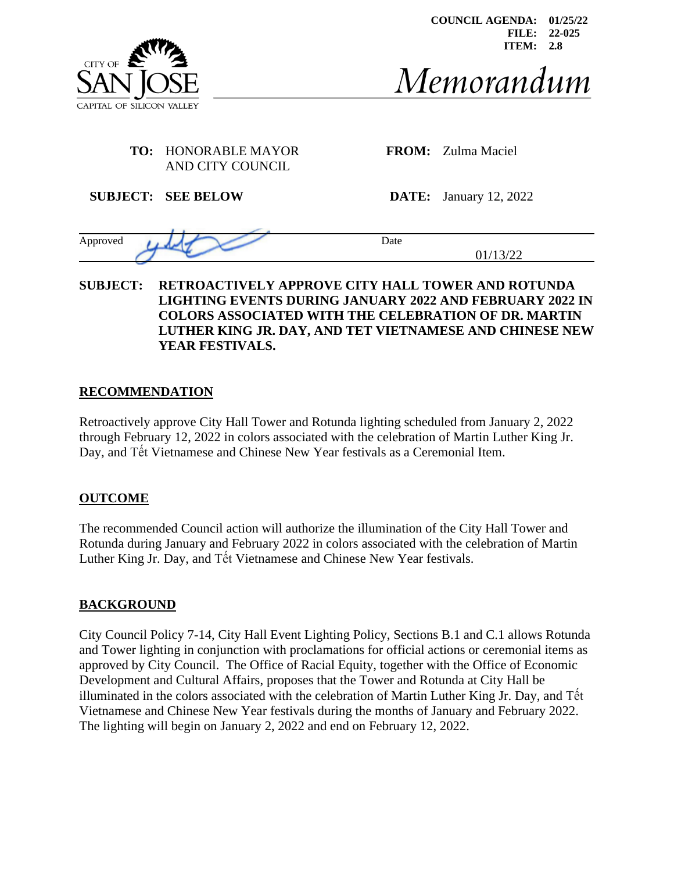

**COUNCIL AGENDA: 01/25/22 FILE: 22-025 ITEM: 2.8**

# Memorandum

# **TO:** HONORABLE MAYOR AND CITY COUNCIL

**FROM:** Zulma Maciel

**SUBJECT: SEE BELOW DATE:** January 12, 2022

| Approved |    | Date              |
|----------|----|-------------------|
|          | __ | $\sim$<br>∸<br>ັ້ |

# **SUBJECT: RETROACTIVELY APPROVE CITY HALL TOWER AND ROTUNDA LIGHTING EVENTS DURING JANUARY 2022 AND FEBRUARY 2022 IN COLORS ASSOCIATED WITH THE CELEBRATION OF DR. MARTIN LUTHER KING JR. DAY, AND TET VIETNAMESE AND CHINESE NEW YEAR FESTIVALS.**

# **RECOMMENDATION**

Retroactively approve City Hall Tower and Rotunda lighting scheduled from January 2, 2022 through February 12, 2022 in colors associated with the celebration of Martin Luther King Jr. Day, and Tết Vietnamese and Chinese New Year festivals as a Ceremonial Item.

# **OUTCOME**

The recommended Council action will authorize the illumination of the City Hall Tower and Rotunda during January and February 2022 in colors associated with the celebration of Martin Luther King Jr. Day, and Tết Vietnamese and Chinese New Year festivals.

# **BACKGROUND**

City Council Policy 7-14, City Hall Event Lighting Policy, Sections B.1 and C.1 allows Rotunda and Tower lighting in conjunction with proclamations for official actions or ceremonial items as approved by City Council. The Office of Racial Equity, together with the Office of Economic Development and Cultural Affairs, proposes that the Tower and Rotunda at City Hall be illuminated in the colors associated with the celebration of Martin Luther King Jr. Day, and Tết Vietnamese and Chinese New Year festivals during the months of January and February 2022. The lighting will begin on January 2, 2022 and end on February 12, 2022.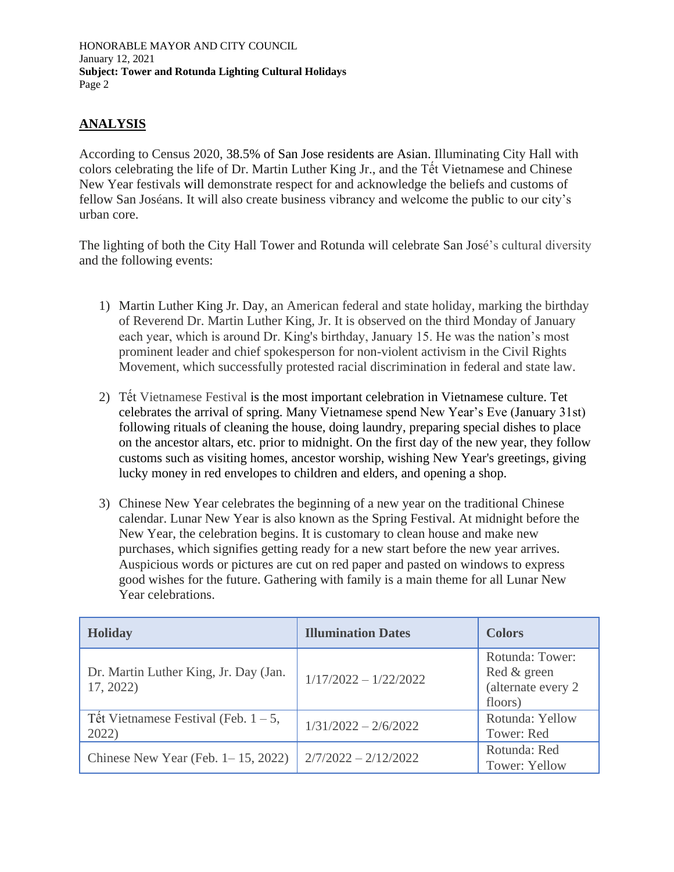HONORABLE MAYOR AND CITY COUNCIL January 12, 2021 **Subject: Tower and Rotunda Lighting Cultural Holidays** Page 2

# **ANALYSIS**

According to Census 2020, 38.5% of San Jose residents are Asian. Illuminating City Hall with colors celebrating the life of Dr. Martin Luther King Jr., and the Tết Vietnamese and Chinese New Year festivals will demonstrate respect for and acknowledge the beliefs and customs of fellow San Joséans. It will also create business vibrancy and welcome the public to our city's urban core.

The lighting of both the City Hall Tower and Rotunda will celebrate San José's cultural diversity and the following events:

- 1) Martin Luther King Jr. Day, an American federal and state holiday, marking the birthday of Reverend Dr. Martin Luther King, Jr. It is observed on the third Monday of January each year, which is around Dr. King's birthday, January 15. He was the nation's most prominent leader and chief spokesperson for non-violent activism in the Civil Rights Movement, which successfully protested racial discrimination in federal and state law.
- 2) Tết Vietnamese Festival is the most important celebration in Vietnamese culture. Tet celebrates the arrival of spring. Many Vietnamese spend New Year's Eve (January 31st) following rituals of cleaning the house, doing laundry, preparing special dishes to place on the ancestor altars, etc. prior to midnight. On the first day of the new year, they follow customs such as visiting homes, ancestor worship, wishing New Year's greetings, giving lucky money in red envelopes to children and elders, and opening a shop.
- 3) Chinese New Year celebrates the beginning of a new year on the traditional Chinese calendar. Lunar New Year is also known as the Spring Festival. At midnight before the New Year, the celebration begins. It is customary to clean house and make new purchases, which signifies getting ready for a new start before the new year arrives. Auspicious words or pictures are cut on red paper and pasted on windows to express good wishes for the future. Gathering with family is a main theme for all Lunar New Year celebrations.

| <b>Holiday</b>                                     | <b>Illumination Dates</b> | <b>Colors</b>                                                    |
|----------------------------------------------------|---------------------------|------------------------------------------------------------------|
| Dr. Martin Luther King, Jr. Day (Jan.<br>17, 2022) | $1/17/2022 - 1/22/2022$   | Rotunda: Tower:<br>Red & green<br>(alternate every 2)<br>floors) |
| Têt Vietnamese Festival (Feb. $1 - 5$ ,<br>2022)   | $1/31/2022 - 2/6/2022$    | Rotunda: Yellow<br>Tower: Red                                    |
| Chinese New Year (Feb. $1-15$ , 2022)              | $2/7/2022 - 2/12/2022$    | Rotunda: Red<br>Tower: Yellow                                    |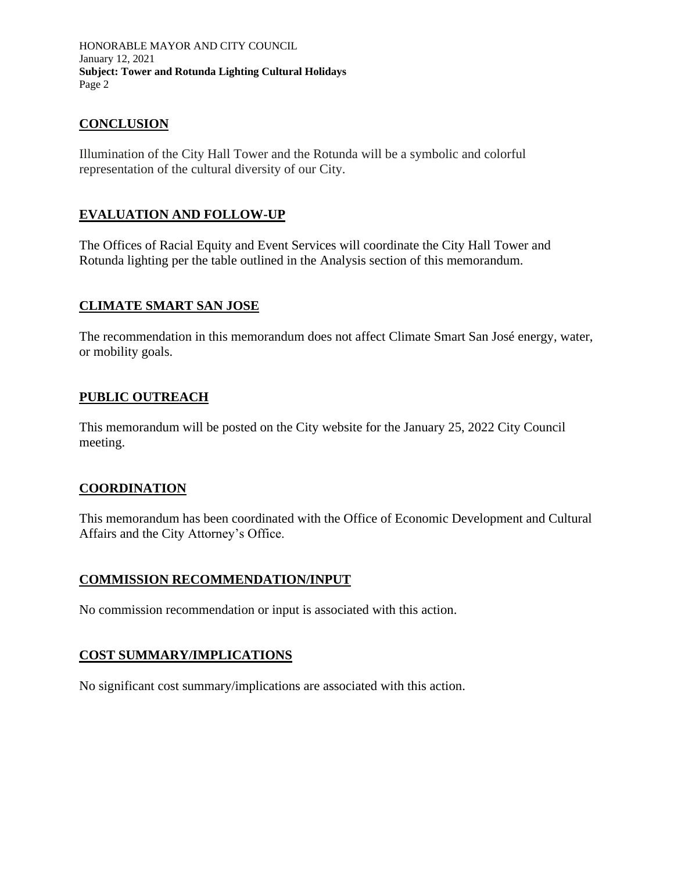HONORABLE MAYOR AND CITY COUNCIL January 12, 2021 **Subject: Tower and Rotunda Lighting Cultural Holidays** Page 2

# **CONCLUSION**

Illumination of the City Hall Tower and the Rotunda will be a symbolic and colorful representation of the cultural diversity of our City.

# **EVALUATION AND FOLLOW-UP**

The Offices of Racial Equity and Event Services will coordinate the City Hall Tower and Rotunda lighting per the table outlined in the Analysis section of this memorandum.

# **CLIMATE SMART SAN JOSE**

The recommendation in this memorandum does not affect Climate Smart San José energy, water, or mobility goals.

# **PUBLIC OUTREACH**

This memorandum will be posted on the City website for the January 25, 2022 City Council meeting.

# **COORDINATION**

This memorandum has been coordinated with the Office of Economic Development and Cultural Affairs and the City Attorney's Office.

# **COMMISSION RECOMMENDATION/INPUT**

No commission recommendation or input is associated with this action.

# **COST SUMMARY/IMPLICATIONS**

No significant cost summary/implications are associated with this action.